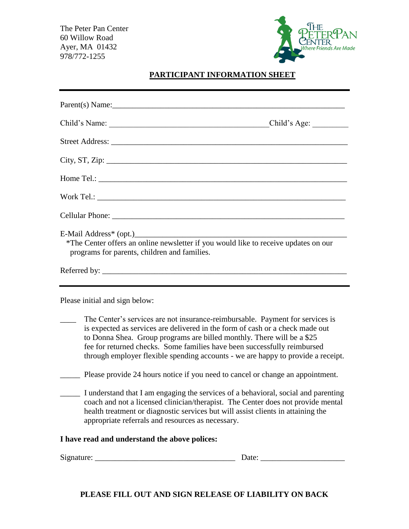The Peter Pan Center 60 Willow Road Ayer, MA 01432 978/772-1255



## **PARTICIPANT INFORMATION SHEET**

|                                | Parent(s) Name:                                                                                                                                                                                                                                                                                                                                                                                                                                                                                                                                                                                                                                                                                                                                                                                               |
|--------------------------------|---------------------------------------------------------------------------------------------------------------------------------------------------------------------------------------------------------------------------------------------------------------------------------------------------------------------------------------------------------------------------------------------------------------------------------------------------------------------------------------------------------------------------------------------------------------------------------------------------------------------------------------------------------------------------------------------------------------------------------------------------------------------------------------------------------------|
|                                | Child's Age:                                                                                                                                                                                                                                                                                                                                                                                                                                                                                                                                                                                                                                                                                                                                                                                                  |
|                                |                                                                                                                                                                                                                                                                                                                                                                                                                                                                                                                                                                                                                                                                                                                                                                                                               |
|                                |                                                                                                                                                                                                                                                                                                                                                                                                                                                                                                                                                                                                                                                                                                                                                                                                               |
|                                |                                                                                                                                                                                                                                                                                                                                                                                                                                                                                                                                                                                                                                                                                                                                                                                                               |
|                                |                                                                                                                                                                                                                                                                                                                                                                                                                                                                                                                                                                                                                                                                                                                                                                                                               |
|                                |                                                                                                                                                                                                                                                                                                                                                                                                                                                                                                                                                                                                                                                                                                                                                                                                               |
|                                | *The Center offers an online newsletter if you would like to receive updates on our<br>programs for parents, children and families.                                                                                                                                                                                                                                                                                                                                                                                                                                                                                                                                                                                                                                                                           |
|                                |                                                                                                                                                                                                                                                                                                                                                                                                                                                                                                                                                                                                                                                                                                                                                                                                               |
| Please initial and sign below: | The Center's services are not insurance-reimbursable. Payment for services is<br>is expected as services are delivered in the form of cash or a check made out<br>to Donna Shea. Group programs are billed monthly. There will be a \$25<br>fee for returned checks. Some families have been successfully reimbursed<br>through employer flexible spending accounts - we are happy to provide a receipt.<br>Please provide 24 hours notice if you need to cancel or change an appointment.<br>I understand that I am engaging the services of a behavioral, social and parenting<br>coach and not a licensed clinician/therapist. The Center does not provide mental<br>health treatment or diagnostic services but will assist clients in attaining the<br>appropriate referrals and resources as necessary. |
|                                | I have read and understand the above polices:                                                                                                                                                                                                                                                                                                                                                                                                                                                                                                                                                                                                                                                                                                                                                                 |
|                                |                                                                                                                                                                                                                                                                                                                                                                                                                                                                                                                                                                                                                                                                                                                                                                                                               |

**PLEASE FILL OUT AND SIGN RELEASE OF LIABILITY ON BACK**